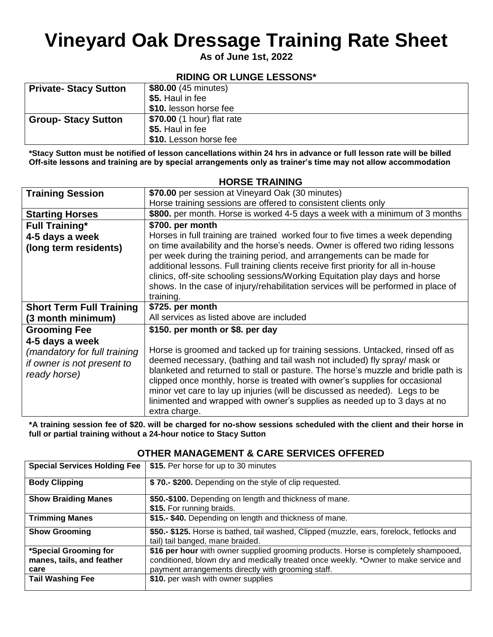## **Vineyard Oak Dressage Training Rate Sheet**

**As of June 1st, 2022**

### **RIDING OR LUNGE LESSONS\***

| <b>Private- Stacy Sutton</b> | \$80.00 (45 minutes)       |
|------------------------------|----------------------------|
|                              | \$5. Haul in fee           |
|                              | \$10. lesson horse fee     |
| <b>Group-Stacy Sutton</b>    | \$70.00 (1 hour) flat rate |
|                              | \$5. Haul in fee           |
|                              | \$10. Lesson horse fee     |

**\*Stacy Sutton must be notified of lesson cancellations within 24 hrs in advance or full lesson rate will be billed Off-site lessons and training are by special arrangements only as trainer's time may not allow accommodation** 

#### **Training Session** | \$70.00 per session at Vineyard Oak (30 minutes) Horse training sessions are offered to consistent clients only **Starting Horses \$800.** per month. Horse is worked 4-5 days a week with a minimum of 3 months **Full Training\* 4-5 days a week (long term residents) \$700. per month** Horses in full training are trained worked four to five times a week depending on time availability and the horse's needs. Owner is offered two riding lessons per week during the training period, and arrangements can be made for additional lessons. Full training clients receive first priority for all in-house clinics, off-site schooling sessions/Working Equitation play days and horse shows. In the case of injury/rehabilitation services will be performed in place of training. **Short Term Full Training (3 month minimum) \$725. per month** All services as listed above are included **Grooming Fee 4-5 days a week** *(mandatory for full training if owner is not present to ready horse)* **\$150. per month or \$8. per day** Horse is groomed and tacked up for training sessions. Untacked, rinsed off as deemed necessary, (bathing and tail wash not included) fly spray/ mask or blanketed and returned to stall or pasture. The horse's muzzle and bridle path is clipped once monthly, horse is treated with owner's supplies for occasional minor vet care to lay up injuries (will be discussed as needed). Legs to be linimented and wrapped with owner's supplies as needed up to 3 days at no extra charge.

**\*A training session fee of \$20. will be charged for no-show sessions scheduled with the client and their horse in full or partial training without a 24-hour notice to Stacy Sutton**

| <b>Special Services Holding Fee</b> | \$15. Per horse for up to 30 minutes                                                                                          |
|-------------------------------------|-------------------------------------------------------------------------------------------------------------------------------|
| <b>Body Clipping</b>                | \$70.- \$200. Depending on the style of clip requested.                                                                       |
| <b>Show Braiding Manes</b>          | \$50.-\$100. Depending on length and thickness of mane.                                                                       |
|                                     | \$15. For running braids.                                                                                                     |
| <b>Trimming Manes</b>               | \$15.- \$40. Depending on length and thickness of mane.                                                                       |
| <b>Show Grooming</b>                | \$50.- \$125. Horse is bathed, tail washed, Clipped (muzzle, ears, forelock, fetlocks and<br>tail) tail banged, mane braided. |
| *Special Grooming for               | \$16 per hour with owner supplied grooming products. Horse is completely shampooed,                                           |
| manes, tails, and feather           | conditioned, blown dry and medically treated once weekly. *Owner to make service and                                          |
| care                                | payment arrangements directly with grooming staff.                                                                            |
| <b>Tail Washing Fee</b>             | \$10. per wash with owner supplies                                                                                            |

#### **OTHER MANAGEMENT & CARE SERVICES OFFERED**

#### **HORSE TRAINING**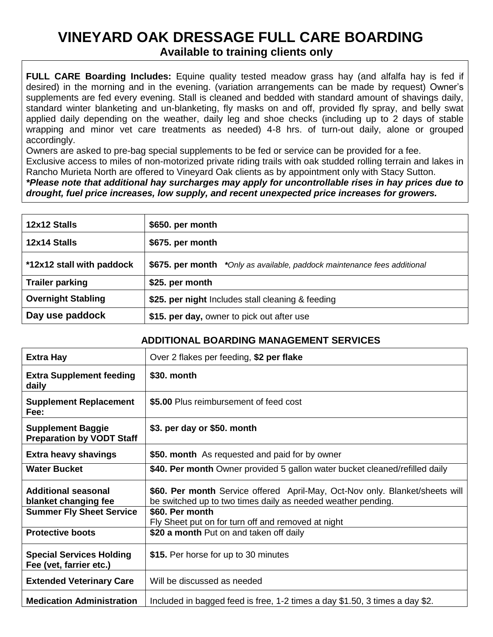### **VINEYARD OAK DRESSAGE FULL CARE BOARDING Available to training clients only**

**FULL CARE Boarding Includes:** Equine quality tested meadow grass hay (and alfalfa hay is fed if desired) in the morning and in the evening. (variation arrangements can be made by request) Owner's supplements are fed every evening. Stall is cleaned and bedded with standard amount of shavings daily, standard winter blanketing and un-blanketing, fly masks on and off, provided fly spray, and belly swat applied daily depending on the weather, daily leg and shoe checks (including up to 2 days of stable wrapping and minor vet care treatments as needed) 4-8 hrs. of turn-out daily, alone or grouped accordingly.

Owners are asked to pre-bag special supplements to be fed or service can be provided for a fee. Exclusive access to miles of non-motorized private riding trails with oak studded rolling terrain and lakes in

Rancho Murieta North are offered to Vineyard Oak clients as by appointment only with Stacy Sutton.

*\*Please note that additional hay surcharges may apply for uncontrollable rises in hay prices due to drought, fuel price increases, low supply, and recent unexpected price increases for growers.*

| 12x12 Stalls              | \$650. per month                                                         |
|---------------------------|--------------------------------------------------------------------------|
| 12x14 Stalls              | \$675. per month                                                         |
| *12x12 stall with paddock | \$675. per month *Only as available, paddock maintenance fees additional |
| <b>Trailer parking</b>    | \$25. per month                                                          |
| <b>Overnight Stabling</b> | \$25. per night Includes stall cleaning & feeding                        |
| Day use paddock           | \$15. per day, owner to pick out after use                               |

#### **ADDITIONAL BOARDING MANAGEMENT SERVICES**

| <b>Extra Hay</b>                                             | Over 2 flakes per feeding, \$2 per flake                                                                                                     |
|--------------------------------------------------------------|----------------------------------------------------------------------------------------------------------------------------------------------|
| <b>Extra Supplement feeding</b><br>daily                     | \$30. month                                                                                                                                  |
| <b>Supplement Replacement</b><br>Fee:                        | \$5.00 Plus reimbursement of feed cost                                                                                                       |
| <b>Supplement Baggie</b><br><b>Preparation by VODT Staff</b> | \$3. per day or \$50. month                                                                                                                  |
| <b>Extra heavy shavings</b>                                  | \$50. month As requested and paid for by owner                                                                                               |
| <b>Water Bucket</b>                                          | \$40. Per month Owner provided 5 gallon water bucket cleaned/refilled daily                                                                  |
| <b>Additional seasonal</b><br>blanket changing fee           | \$60. Per month Service offered April-May, Oct-Nov only. Blanket/sheets will<br>be switched up to two times daily as needed weather pending. |
| <b>Summer Fly Sheet Service</b>                              | \$60. Per month                                                                                                                              |
| <b>Protective boots</b>                                      | Fly Sheet put on for turn off and removed at night<br>\$20 a month Put on and taken off daily                                                |
| <b>Special Services Holding</b><br>Fee (vet, farrier etc.)   | \$15. Per horse for up to 30 minutes                                                                                                         |
| <b>Extended Veterinary Care</b>                              | Will be discussed as needed                                                                                                                  |
| <b>Medication Administration</b>                             | Included in bagged feed is free, 1-2 times a day \$1.50, 3 times a day \$2.                                                                  |